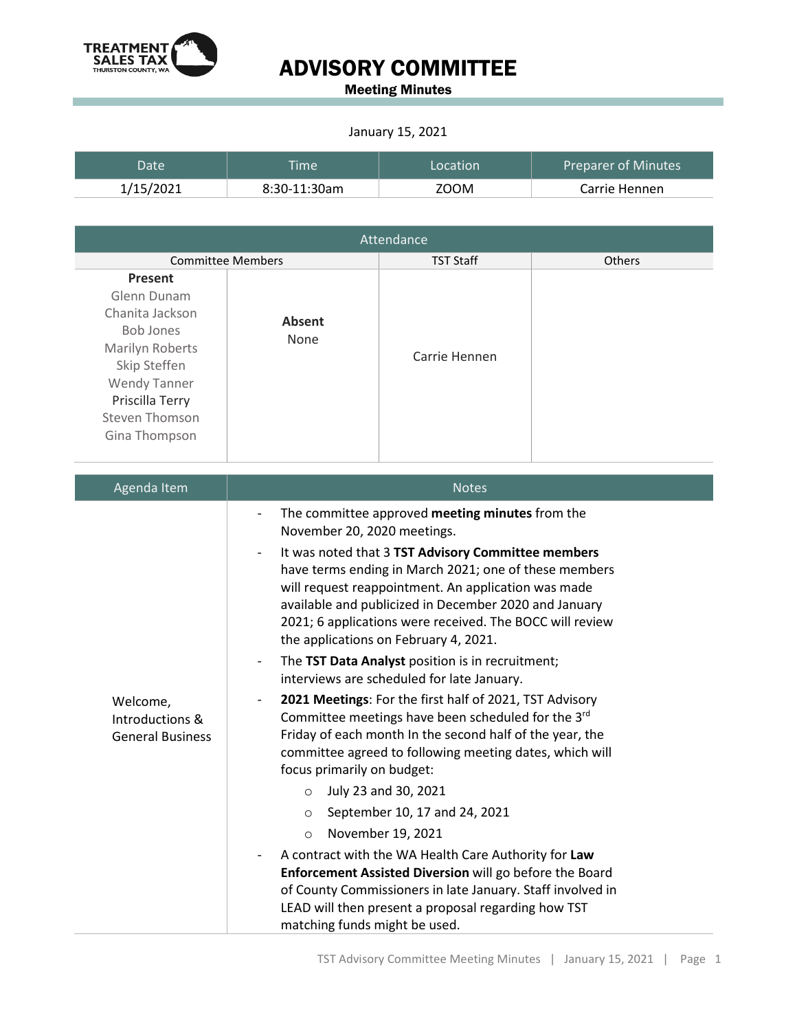

## ADVISORY COMMITTEE

Meeting Minutes

#### January 15, 2021

| Datel     | <b>Time</b>  | Location | <b>Preparer of Minutes</b> |
|-----------|--------------|----------|----------------------------|
| 1/15/2021 | 8:30-11:30am | 700M     | Carrie Hennen              |

| Attendance                                                                                                                                                                           |                                                                                                                                                                                                                                                                                                                                                                                                                                                                                                                                                                                                                                                                                                                                                                                                                                                                                                                                                                                                                                                                                                                                                                                                                                                                    |                  |        |  |  |
|--------------------------------------------------------------------------------------------------------------------------------------------------------------------------------------|--------------------------------------------------------------------------------------------------------------------------------------------------------------------------------------------------------------------------------------------------------------------------------------------------------------------------------------------------------------------------------------------------------------------------------------------------------------------------------------------------------------------------------------------------------------------------------------------------------------------------------------------------------------------------------------------------------------------------------------------------------------------------------------------------------------------------------------------------------------------------------------------------------------------------------------------------------------------------------------------------------------------------------------------------------------------------------------------------------------------------------------------------------------------------------------------------------------------------------------------------------------------|------------------|--------|--|--|
| <b>Committee Members</b>                                                                                                                                                             |                                                                                                                                                                                                                                                                                                                                                                                                                                                                                                                                                                                                                                                                                                                                                                                                                                                                                                                                                                                                                                                                                                                                                                                                                                                                    | <b>TST Staff</b> | Others |  |  |
| Present<br>Glenn Dunam<br>Chanita Jackson<br><b>Bob Jones</b><br>Marilyn Roberts<br>Skip Steffen<br><b>Wendy Tanner</b><br>Priscilla Terry<br><b>Steven Thomson</b><br>Gina Thompson | <b>Absent</b><br>None                                                                                                                                                                                                                                                                                                                                                                                                                                                                                                                                                                                                                                                                                                                                                                                                                                                                                                                                                                                                                                                                                                                                                                                                                                              | Carrie Hennen    |        |  |  |
| Agenda Item                                                                                                                                                                          |                                                                                                                                                                                                                                                                                                                                                                                                                                                                                                                                                                                                                                                                                                                                                                                                                                                                                                                                                                                                                                                                                                                                                                                                                                                                    | <b>Notes</b>     |        |  |  |
| Welcome,<br>Introductions &<br><b>General Business</b>                                                                                                                               | The committee approved meeting minutes from the<br>$\qquad \qquad -$<br>November 20, 2020 meetings.<br>It was noted that 3 TST Advisory Committee members<br>$\overline{\phantom{a}}$<br>have terms ending in March 2021; one of these members<br>will request reappointment. An application was made<br>available and publicized in December 2020 and January<br>2021; 6 applications were received. The BOCC will review<br>the applications on February 4, 2021.<br>The TST Data Analyst position is in recruitment;<br>$\qquad \qquad \blacksquare$<br>interviews are scheduled for late January.<br>2021 Meetings: For the first half of 2021, TST Advisory<br>Committee meetings have been scheduled for the 3rd<br>Friday of each month In the second half of the year, the<br>committee agreed to following meeting dates, which will<br>focus primarily on budget:<br>July 23 and 30, 2021<br>$\circ$<br>September 10, 17 and 24, 2021<br>$\cap$<br>November 19, 2021<br>$\circ$<br>A contract with the WA Health Care Authority for Law<br>Enforcement Assisted Diversion will go before the Board<br>of County Commissioners in late January. Staff involved in<br>LEAD will then present a proposal regarding how TST<br>matching funds might be used. |                  |        |  |  |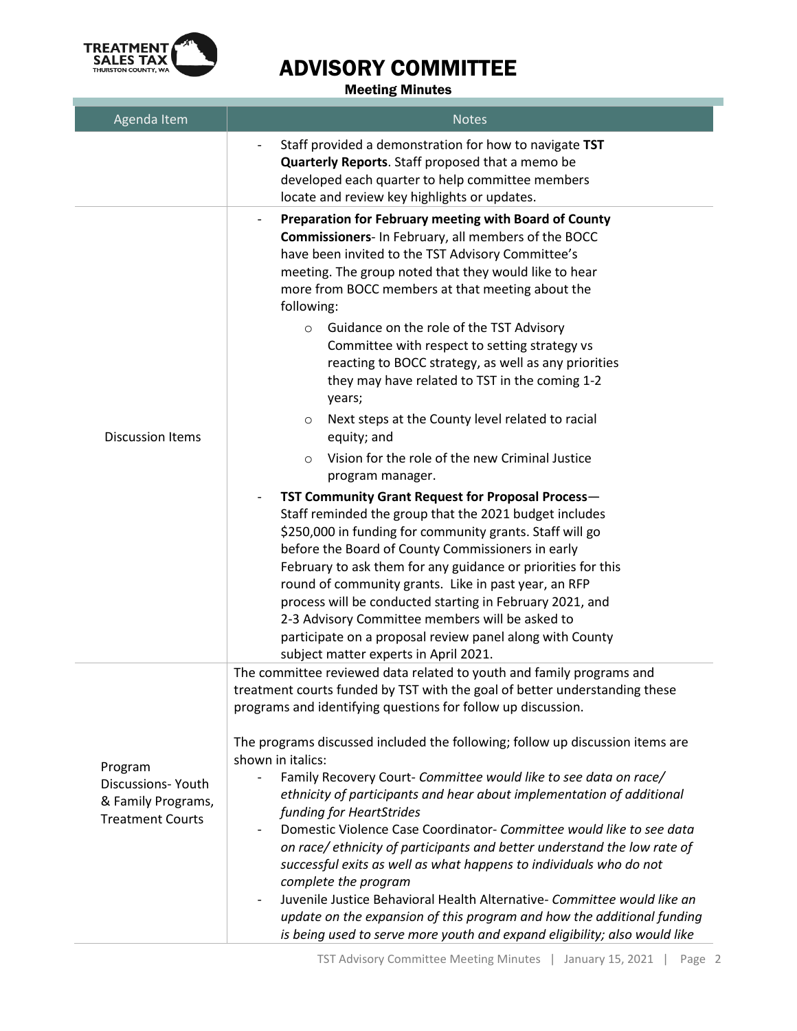

# ADVISORY COMMITTEE

### Meeting Minutes

| Agenda Item                                                                   | <b>Notes</b>                                                                                                                                                                                                                                                                                                                                                                                                                                                                                                                                                                                                                                                                                                                                                                                                                                                                                                                                                                                                                                                                                                                                                                                                                                                         |  |  |
|-------------------------------------------------------------------------------|----------------------------------------------------------------------------------------------------------------------------------------------------------------------------------------------------------------------------------------------------------------------------------------------------------------------------------------------------------------------------------------------------------------------------------------------------------------------------------------------------------------------------------------------------------------------------------------------------------------------------------------------------------------------------------------------------------------------------------------------------------------------------------------------------------------------------------------------------------------------------------------------------------------------------------------------------------------------------------------------------------------------------------------------------------------------------------------------------------------------------------------------------------------------------------------------------------------------------------------------------------------------|--|--|
|                                                                               | Staff provided a demonstration for how to navigate TST<br>Quarterly Reports. Staff proposed that a memo be<br>developed each quarter to help committee members<br>locate and review key highlights or updates.                                                                                                                                                                                                                                                                                                                                                                                                                                                                                                                                                                                                                                                                                                                                                                                                                                                                                                                                                                                                                                                       |  |  |
| <b>Discussion Items</b>                                                       | Preparation for February meeting with Board of County<br>-<br>Commissioners- In February, all members of the BOCC<br>have been invited to the TST Advisory Committee's<br>meeting. The group noted that they would like to hear<br>more from BOCC members at that meeting about the<br>following:<br>Guidance on the role of the TST Advisory<br>$\circ$<br>Committee with respect to setting strategy vs<br>reacting to BOCC strategy, as well as any priorities<br>they may have related to TST in the coming 1-2<br>years;<br>Next steps at the County level related to racial<br>O<br>equity; and<br>Vision for the role of the new Criminal Justice<br>$\Omega$<br>program manager.<br>TST Community Grant Request for Proposal Process-<br>Staff reminded the group that the 2021 budget includes<br>\$250,000 in funding for community grants. Staff will go<br>before the Board of County Commissioners in early<br>February to ask them for any guidance or priorities for this<br>round of community grants. Like in past year, an RFP<br>process will be conducted starting in February 2021, and<br>2-3 Advisory Committee members will be asked to<br>participate on a proposal review panel along with County<br>subject matter experts in April 2021. |  |  |
| Program<br>Discussions-Youth<br>& Family Programs,<br><b>Treatment Courts</b> | The committee reviewed data related to youth and family programs and<br>treatment courts funded by TST with the goal of better understanding these<br>programs and identifying questions for follow up discussion.<br>The programs discussed included the following; follow up discussion items are<br>shown in italics:<br>Family Recovery Court- Committee would like to see data on race/<br>ethnicity of participants and hear about implementation of additional<br>funding for HeartStrides<br>Domestic Violence Case Coordinator- Committee would like to see data<br>$\overline{\phantom{0}}$<br>on race/ethnicity of participants and better understand the low rate of<br>successful exits as well as what happens to individuals who do not<br>complete the program<br>Juvenile Justice Behavioral Health Alternative- Committee would like an<br>$\overline{\phantom{0}}$<br>update on the expansion of this program and how the additional funding<br>is being used to serve more youth and expand eligibility; also would like                                                                                                                                                                                                                         |  |  |